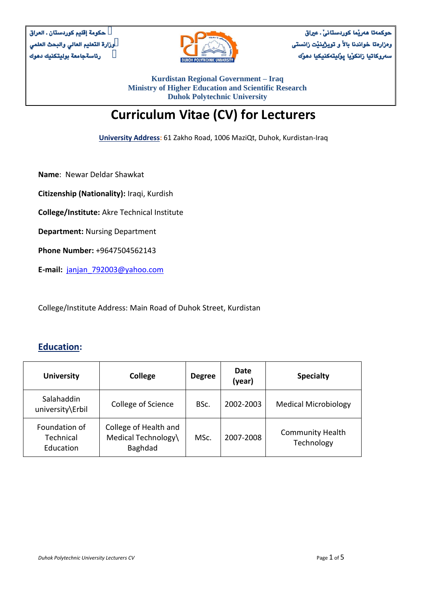

حوكمةتا هةريَما كوردستانىَ ـ عرياق وةزارةتا خواندنا باالَ و تويذينيَت زانستى سەروكاتيا زانكوّيا پوَليتەكنيكيا دھوَّك

**Kurdistan Regional Government – Iraq Ministry of Higher Education and Scientific Research Duhok Polytechnic University**

# **Curriculum Vitae (CV) for Lecturers**

**University Address:** 61 Zakho Road, 1006 MaziQt, Duhok, Kurdistan-Iraq

**Name**: Newar Deldar Shawkat

**Citizenship (Nationality):** Iraqi, Kurdish

**College/Institute:** Akre Technical Institute

**Department:** Nursing Department

**Phone Number:** +9647504562143

**E-mail:** [janjan\\_792003@yahoo.com](mailto:janjan_792003@yahoo.com)

College/Institute Address: Main Road of Duhok Street, Kurdistan

#### **Education:**

| <b>University</b>                       | <b>College</b>                                          | <b>Degree</b> | Date<br>(year) | <b>Specialty</b>                      |
|-----------------------------------------|---------------------------------------------------------|---------------|----------------|---------------------------------------|
| Salahaddin<br>university\Erbil          | College of Science                                      | BSc.          | 2002-2003      | <b>Medical Microbiology</b>           |
| Foundation of<br>Technical<br>Education | College of Health and<br>Medical Technology\<br>Baghdad | MSc.          | 2007-2008      | <b>Community Health</b><br>Technology |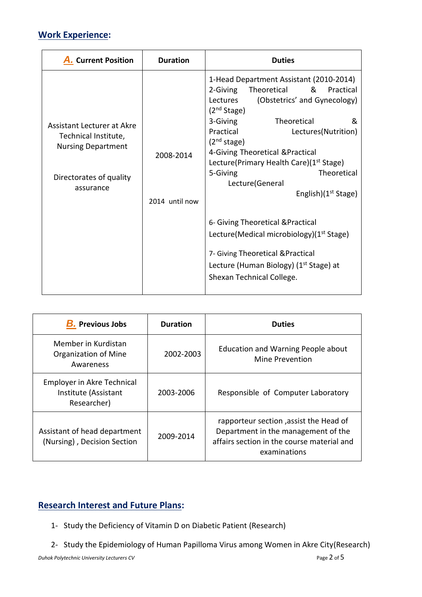## **Work Experience:**

| <b>A.</b> Current Position                                                                                                     | <b>Duration</b>             | <b>Duties</b>                                                                                                                                                                                                                                                                                                                                                                                                                  |
|--------------------------------------------------------------------------------------------------------------------------------|-----------------------------|--------------------------------------------------------------------------------------------------------------------------------------------------------------------------------------------------------------------------------------------------------------------------------------------------------------------------------------------------------------------------------------------------------------------------------|
| <b>Assistant Lecturer at Akre</b><br>Technical Institute,<br><b>Nursing Department</b><br>Directorates of quality<br>assurance | 2008-2014<br>2014 until now | 1-Head Department Assistant (2010-2014)<br>Theoretical & Practical<br>2-Giving<br>(Obstetrics' and Gynecology)<br>Lectures<br>(2 <sup>nd</sup> Stage)<br>Theoretical<br>3-Giving<br>&<br>Practical<br>Lectures(Nutrition)<br>(2 <sup>nd</sup> stage)<br>4-Giving Theoretical & Practical<br>Lecture(Primary Health Care)(1 <sup>st</sup> Stage)<br><b>Theoretical</b><br>5-Giving<br>Lecture(General<br>English) $(1st Stage)$ |
|                                                                                                                                |                             | 6- Giving Theoretical & Practical<br>Lecture(Medical microbiology)(1 <sup>st</sup> Stage)                                                                                                                                                                                                                                                                                                                                      |
|                                                                                                                                |                             | 7- Giving Theoretical & Practical<br>Lecture (Human Biology) (1 <sup>st</sup> Stage) at<br>Shexan Technical College.                                                                                                                                                                                                                                                                                                           |

| <b>B.</b> Previous Jobs                                           | <b>Duration</b> | <b>Duties</b>                                                                                                                               |
|-------------------------------------------------------------------|-----------------|---------------------------------------------------------------------------------------------------------------------------------------------|
| Member in Kurdistan<br>Organization of Mine<br>Awareness          | 2002-2003       | Education and Warning People about<br>Mine Prevention                                                                                       |
| Employer in Akre Technical<br>Institute (Assistant<br>Researcher) | 2003-2006       | Responsible of Computer Laboratory                                                                                                          |
| Assistant of head department<br>(Nursing), Decision Section       | 2009-2014       | rapporteur section, assist the Head of<br>Department in the management of the<br>affairs section in the course material and<br>examinations |

## **Research Interest and Future Plans:**

- 1- Study the Deficiency of Vitamin D on Diabetic Patient (Research)
- 2- Study the Epidemiology of Human Papilloma Virus among Women in Akre City(Research)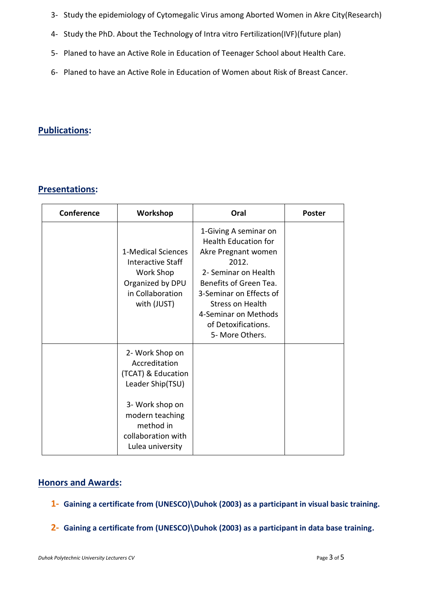- 3- Study the epidemiology of Cytomegalic Virus among Aborted Women in Akre City(Research)
- 4- Study the PhD. About the Technology of Intra vitro Fertilization(IVF)(future plan)
- 5- Planed to have an Active Role in Education of Teenager School about Health Care.
- 6- Planed to have an Active Role in Education of Women about Risk of Breast Cancer.

## **Publications:**

## **Presentations:**

| Conference | Workshop                                                                                                                                                                | Oral                                                                                                                                                                                                                                                    | <b>Poster</b> |
|------------|-------------------------------------------------------------------------------------------------------------------------------------------------------------------------|---------------------------------------------------------------------------------------------------------------------------------------------------------------------------------------------------------------------------------------------------------|---------------|
|            | 1-Medical Sciences<br>Interactive Staff<br>Work Shop<br>Organized by DPU<br>in Collaboration<br>with (JUST)                                                             | 1-Giving A seminar on<br><b>Health Education for</b><br>Akre Pregnant women<br>2012.<br>2- Seminar on Health<br>Benefits of Green Tea.<br>3-Seminar on Effects of<br>Stress on Health<br>4-Seminar on Methods<br>of Detoxifications.<br>5- More Others. |               |
|            | 2- Work Shop on<br>Accreditation<br>(TCAT) & Education<br>Leader Ship(TSU)<br>3- Work shop on<br>modern teaching<br>method in<br>collaboration with<br>Lulea university |                                                                                                                                                                                                                                                         |               |

#### **Honors and Awards:**

- **1- Gaining a certificate from (UNESCO)\Duhok (2003) as a participant in visual basic training.**
- **2- Gaining a certificate from (UNESCO)\Duhok (2003) as a participant in data base training.**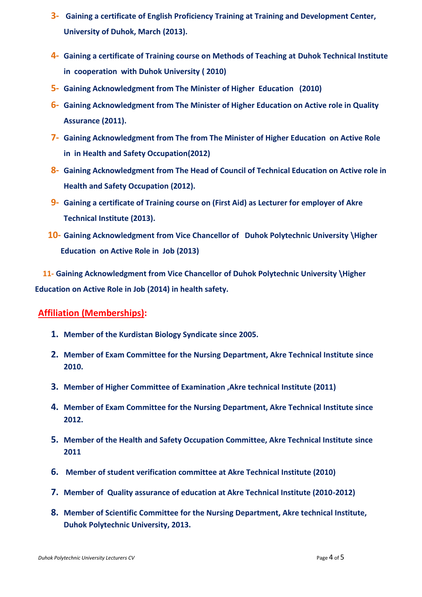- **3- Gaining a certificate of English Proficiency Training at Training and Development Center, University of Duhok, March (2013).**
- **4- Gaining a certificate of Training course on Methods of Teaching at Duhok Technical Institute in cooperation with Duhok University ( 2010)**
- **5- Gaining Acknowledgment from The Minister of Higher Education (2010)**
- **6- Gaining Acknowledgment from The Minister of Higher Education on Active role in Quality Assurance (2011).**
- **7- Gaining Acknowledgment from The from The Minister of Higher Education on Active Role in in Health and Safety Occupation(2012)**
- **8- Gaining Acknowledgment from The Head of Council of Technical Education on Active role in Health and Safety Occupation (2012).**
- **9- Gaining a certificate of Training course on (First Aid) as Lecturer for employer of Akre Technical Institute (2013).**
- **10- Gaining Acknowledgment from Vice Chancellor of Duhok Polytechnic University \Higher Education on Active Role in Job (2013)**

 **11- Gaining Acknowledgment from Vice Chancellor of Duhok Polytechnic University \Higher Education on Active Role in Job (2014) in health safety.**

#### **Affiliation (Memberships):**

- **1. Member of the Kurdistan Biology Syndicate since 2005.**
- **2. Member of Exam Committee for the Nursing Department, Akre Technical Institute since 2010.**
- **3. Member of Higher Committee of Examination ,Akre technical Institute (2011)**
- **4. Member of Exam Committee for the Nursing Department, Akre Technical Institute since 2012.**
- **5. Member of the Health and Safety Occupation Committee, Akre Technical Institute since 2011**
- **6. Member of student verification committee at Akre Technical Institute (2010)**
- **7. Member of Quality assurance of education at Akre Technical Institute (2010-2012)**
- **8. Member of Scientific Committee for the Nursing Department, Akre technical Institute, Duhok Polytechnic University, 2013.**